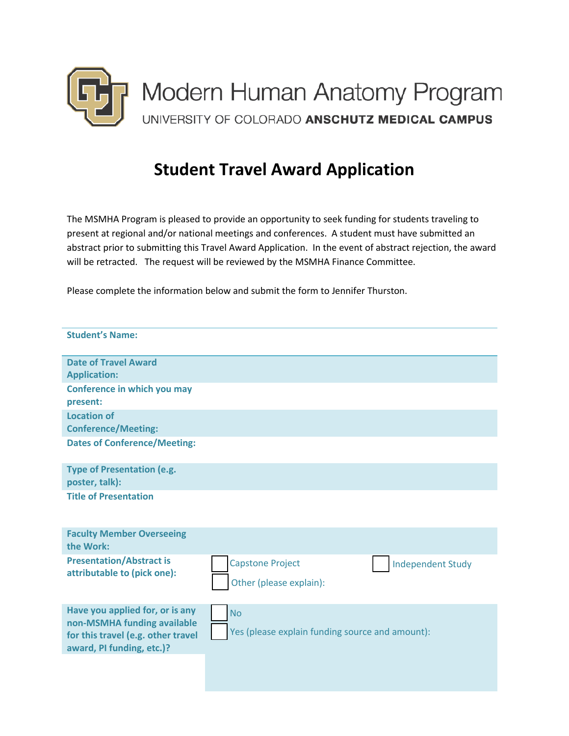

## **Student Travel Award Application**

The MSMHA Program is pleased to provide an opportunity to seek funding for students traveling to present at regional and/or national meetings and conferences. A student must have submitted an abstract prior to submitting this Travel Award Application. In the event of abstract rejection, the award will be retracted. The request will be reviewed by the MSMHA Finance Committee.

Please complete the information below and submit the form to Jennifer Thurston.

| <b>Student's Name:</b>                                                                                                            |                                                                                |
|-----------------------------------------------------------------------------------------------------------------------------------|--------------------------------------------------------------------------------|
| <b>Date of Travel Award</b><br><b>Application:</b>                                                                                |                                                                                |
| Conference in which you may<br>present:                                                                                           |                                                                                |
| <b>Location of</b><br><b>Conference/Meeting:</b>                                                                                  |                                                                                |
| <b>Dates of Conference/Meeting:</b>                                                                                               |                                                                                |
| <b>Type of Presentation (e.g.</b><br>poster, talk):                                                                               |                                                                                |
| <b>Title of Presentation</b>                                                                                                      |                                                                                |
| <b>Faculty Member Overseeing</b><br>the Work:                                                                                     |                                                                                |
| <b>Presentation/Abstract is</b><br>attributable to (pick one):                                                                    | <b>Capstone Project</b><br><b>Independent Study</b><br>Other (please explain): |
| Have you applied for, or is any<br>non-MSMHA funding available<br>for this travel (e.g. other travel<br>award, PI funding, etc.)? | <b>No</b><br>Yes (please explain funding source and amount):                   |
|                                                                                                                                   |                                                                                |